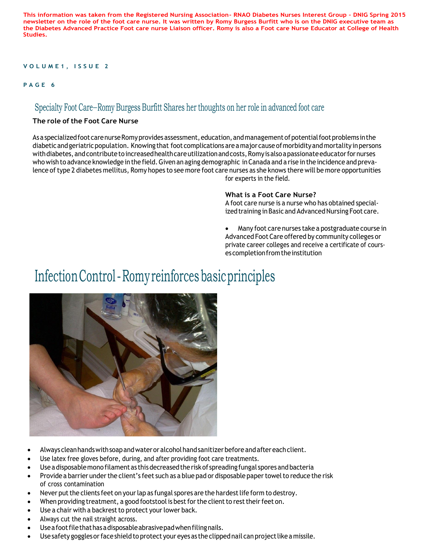**This information was taken from the Registered Nursing Association- RNAO Diabetes Nurses Interest Group – DNIG Spring 2015 newsletter on the role of the foot care nurse. It was written by Romy Burgess Burfitt who is on the DNIG executive team as the Diabetes Advanced Practice Foot care nurse Liaison officer. Romy is also a Foot care Nurse Educator at College of Health Studies.** 

### **V O L U M E 1 , I S S U E 2**

#### **P A G E 6**

## Specialty Foot Care—Romy Burgess Burfitt Shares her thoughts on her role in advanced foot care

### **The role of the Foot Care Nurse**

As a specialized foot care nurse Romy provides assessment, education, and management of potential foot problems in the diabetic and geriatric population. Knowing that foot complications are a major cause ofmorbidity and mortality in persons with diabetes, and contribute to increased health care utilization and costs, Romy is also a passionate educator for nurses who wish to advance knowledge in the field. Given an aging demographic in Canada and a rise in the incidence and prevalence of type 2 diabetes mellitus, Romy hopes to see more foot care nurses as she knows there will be more opportunities for experts in the field.

### **What is a Foot Care Nurse?**

A foot care nurse is a nurse who has obtained specialized training in Basic and Advanced Nursing Foot care.

 Many foot care nurses take a postgraduate course in Advanced Foot Care offered by community colleges or private career colleges and receive a certificate of courses completion from the institution

## Infection Control - Romy reinforces basic principles



- Always clean hands with soap and wateror alcohol hand sanitizer before and after each client.
- Use latex free gloves before, during, and after providing foot care treatments.
- Use a disposable mono filament as this decreased the risk of spreading fungal spores and bacteria
- Provide a barrier under the client's feet such as a blue pad or disposable paper towel to reduce the risk of cross contamination
- Never put the clients feet on your lap as fungal spores are the hardest life form to destroy.
- When providing treatment, a good footstool is best for the client to rest their feet on.
- Use a chair with a backrest to protect your lower back.
- Always cut the nail straight across.
- Use a foot file that has a disposable abrasive pad when filing nails.
- Use safety goggles or face shield to protect your eyes as the clipped nail can project like a missile.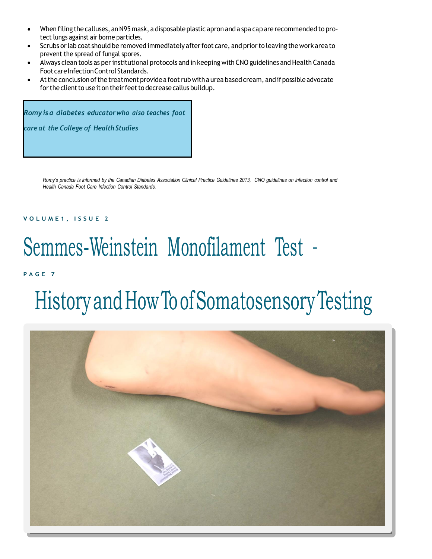- When filing the calluses, anN95 mask, a disposable plastic apron and a spa cap are recommended to protect lungs against air borne particles.
- Scrubs orlab coat should be removed immediately afterfoot care, and priorto leaving the work area to prevent the spread of fungal spores.
- Always clean tools as perinstitutional protocols and in keeping with CNO guidelines and Health Canada Foot care Infection Control Standards.
- At the conclusion of the treatment provide a foot rub with a urea based cream, and if possible advocate for the client to use it on their feet to decrease callus buildup.

*Romyisa diabetes educatorwho also teaches foot care at the College of Health Studies*

> Romy's practice is informed by the Canadian Diabetes Association Clinical Practice Guidelines 2013, CNO guidelines on infection control and *Health Canada Foot Care Infection Control Standards.*

### **V O L U M E 1 , I S S U E 2**

## Semmes-Weinstein Monofilament Test –

**P A G E 7**

# HistoryandHowToofSomatosensoryTesting

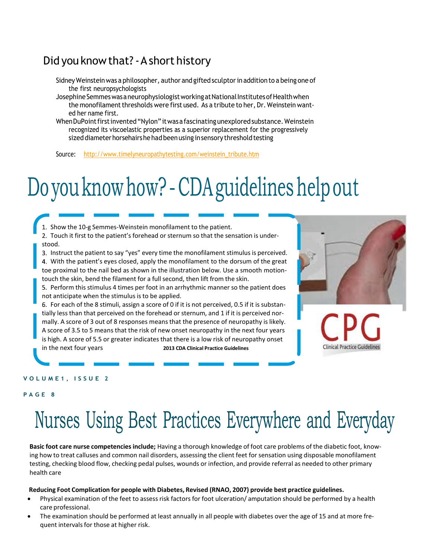## Did you knowthat?-Ashort history

- Sidney Weinstein was a philosopher, author and gifted sculptor in addition to a being one of the first neuropsychologists
- Josephine Semmes was a neurophysiologist working at National Institutes of Health when the monofilament thresholds were first used. As a tribute to her, Dr. Weinstein wanted her name first.
- When DuPoint first invented "Nylon" it was a fascinating unexplored substance. Weinstein recognized its viscoelastic properties as a superior replacement for the progressively sized diameter horsehairshe had been using in sensory threshold testing

Source: [http://www.timelyneuropathytesting.com/weinstein\\_tribute.htm](http://www.timelyneuropathytesting.com/weinstein_tribute.htm)

## Do you know how? - CDA guidelines help out

1. Show the 10-g Semmes-Weinstein monofilament to the patient.

2. Touch it first to the patient's forehead or sternum so that the sensation is understood.

3. Instruct the patient to say "yes" every time the monofilament stimulus is perceived. 4. With the patient's eyes closed, apply the monofilament to the dorsum of the great toe proximal to the nail bed as shown in the illustration below. Use a smooth motion-

touch the skin, bend the filament for a full second, then lift from the skin. 5. Perform this stimulus 4 times per foot in an arrhythmic manner so the patient does not anticipate when the stimulus is to be applied.

For each of the 8 stimuli, assign a score of 0 if it is not perceived, 0.5 if it is substantially lessthan that perceived on the forehead or sternum, and 1 if it is perceived normally. A score of 3 out of 8 responses meansthat the presence of neuropathy is likely. A score of 3.5 to 5 means that the risk of new onset neuropathy in the next four years is high. A score of 5.5 or greater indicates that there is a low risk of neuropathy onset in the next four years **2013 CDA Clinical Practice Guidelines**



### **V O L U M E 1 , I S S U E 2**

#### **P A G E 8**

## Nurses Using Best Practices Everywhere and Everyday

**Basic foot care nurse competencies include;** Having a thorough knowledge of foot care problems of the diabetic foot, knowing how to treat calluses and common nail disorders, assessing the client feet for sensation using disposable monofilament testing, checking blood flow, checking pedal pulses, wounds or infection, and provide referral as needed to other primary health care

#### **Reducing Foot Complication for people with Diabetes, Revised (RNAO, 2007) provide best practice guidelines.**

- Physical examination of the feet to assess risk factors for foot ulceration/ amputation should be performed by a health care professional.
- The examination should be performed at least annually in all people with diabetes over the age of 15 and at more frequent intervals for those at higher risk.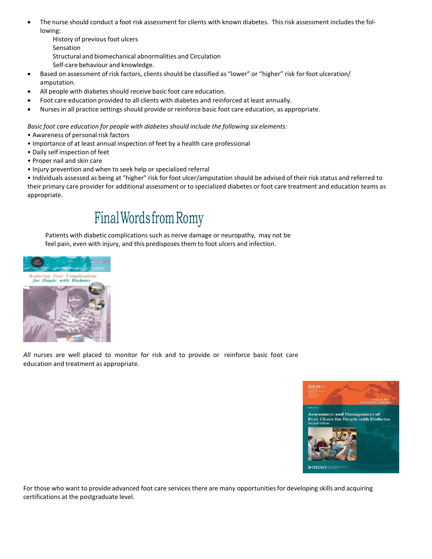- The nurse should conduct a foot risk assessment for clients with known diabetes. This risk assessment includes the following:
	- History of previous foot ulcers Sensation Structural and biomechanical abnormalities and Circulation
	- Self-care behaviour and knowledge.
- Based on assessment of risk factors, clients should be classified as "lower" or "higher" risk for foot ulceration/ amputation.
- All people with diabetes should receive basic foot care education.
- Foot care education provided to all clients with diabetes and reinforced at least annually.
- Nursesin all practice settings should provide or reinforce basic foot care education, as appropriate.

*Basic foot care education for people with diabetes should include the following six elements:*

- Awareness of personal risk factors
- Importance of at least annual inspection of feet by a health care professional
- Daily self inspection of feet
- Proper nail and skin care
- Injury prevention and when to seek help or specialized referral

• Individuals assessed as being at "higher" risk for foot ulcer/amputation should be advised of their risk status and referred to their primary care provider for additional assessment or to specialized diabetes or foot care treatment and education teams as appropriate.

## Final Words from Romy

Patients with diabetic complicationssuch as nerve damage or neuropathy, may not be feel pain, even with injury, and this predisposes them to foot ulcers and infection.



*All* nurses are well placed to monitor for risk and to provide or reinforce basic foot care education and treatment as appropriate.



For those who want to provide advanced foot care services there are many opportunities for developing skills and acquiring certifications at the postgraduate level.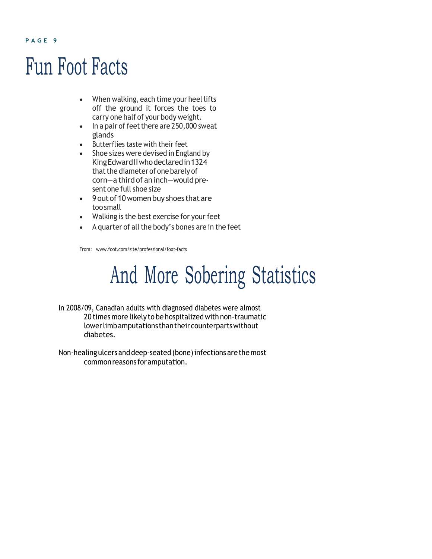## Fun Foot Facts

- When walking, each time your heel lifts off the ground it forces the toes to carry one half of your body weight.
- $\cdot$  In a pair of feet there are 250,000 sweat glands
- Butterflies taste with their feet
- Shoe sizes were devised in England by KingEdwardIIwhodeclaredin1324 that the diameter of one barely of corn—a third of an inch—would present one full shoe size
- 9 out of 10 women buy shoes that are toosmall
- Walking is the best exercise for your feet
- $\bullet$  A quarter of all the body's bones are in the feet

From: [www.foot.com/site/professional/foot-facts](http://www.foot.com/site/professional/foot-facts)

## And More Sobering Statistics

- In 2008/09, Canadian adults with diagnosed diabetes were almost 20 times more likely to be hospitalized with non-traumatic lowerlimbamputationsthantheircounterpartswithout diabetes.
- Non-healing ulcers and deep-seated (bone) infections are the most commonreasons foramputation.